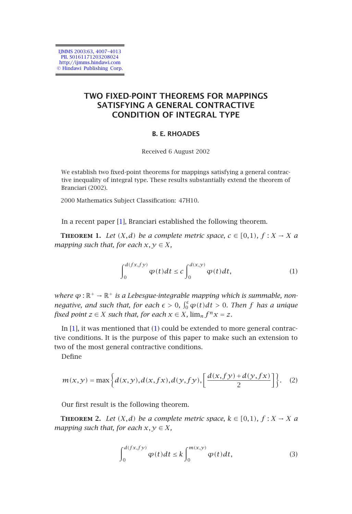IJMMS 2003:63, 4007–4013 PII. S0161171203208024 http://ijmms.hindawi.com © Hindawi Publishing Corp.

# **TWO FIXED-POINT THEOREMS FOR MAPPINGS SATISFYING A GENERAL CONTRACTIVE CONDITION OF INTEGRAL TYPE**

## <span id="page-0-0"></span>**B. E. RHOADES**

Received 6 August 2002

We establish two fixed-point theorems for mappings satisfying a general contractive inequality of integral type. These results substantially extend the theorem of Branciari (2002).

2000 Mathematics Subject Classification: 47H10.

In a recent paper [1], Branciari established the following theorem.

**THEOREM** 1. Let  $(X,d)$  be a complete metric space,  $c \in [0,1)$ ,  $f : X \to X$  a *map[pin](#page-6-0)g such that, for each*  $x, y \in X$  $x, y \in X$  $x, y \in X$ *,* 

<span id="page-0-2"></span>
$$
\int_0^{d(fx,fy)} \varphi(t)dt \le c \int_0^{d(x,y)} \varphi(t)dt, \tag{1}
$$

*where*  $\varphi$  : ℝ<sup>+</sup> → ℝ<sup>+</sup> *is a Lebesgue-integrable mapping which is summable, nonnegative, and such that, for each*  $\epsilon > 0$ ,  $\int_0^{\epsilon} \varphi(t) dt > 0$ . Then f has a unique *fixed point*  $z \in X$  *such that, for each*  $x \in X$ *,*  $\lim_{n} f^{n}x = z$ *.* 

<span id="page-0-3"></span>In  $[1]$ , it was mentioned that  $(1)$  could be extended to more general contractive conditions. It is the purpose of this paper to make such an extension to two of the most general contractive conditions.

Define

$$
m(x,y) = \max\left\{d(x,y), d(x,fx), d(y,fy), \left[\frac{d(x,fy) + d(y,fx)}{2}\right]\right\}.
$$
 (2)

Our first result is the following theorem.

**THEOREM 2.** Let  $(X, d)$  be a complete metric space,  $k \in [0, 1)$ ,  $f : X \to X$  a *mapping such that, for each*  $x, y \in X$ *,* 

<span id="page-0-1"></span>
$$
\int_0^{d(fx,fy)} \varphi(t)dt \le k \int_0^{m(x,y)} \varphi(t)dt, \tag{3}
$$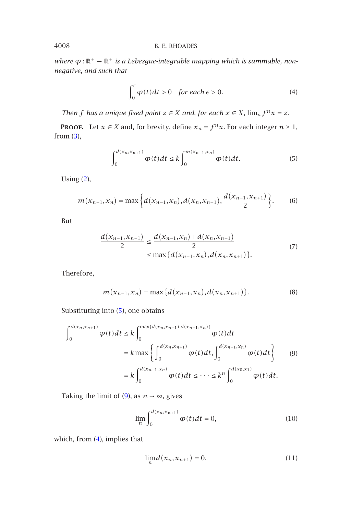### 4008 B. E. RHOADES

*where*  $\phi$  : ℝ<sup>+</sup> → ℝ<sup>+</sup> *is a Lebesgue-integrable mapping which is summable, nonnegative, and such that*

<span id="page-1-2"></span>
$$
\int_0^{\epsilon} \varphi(t)dt > 0 \quad \text{for each } \epsilon > 0.
$$
 (4)

*Then f has a unique fixed point*  $z \in X$  *and, for each*  $x \in X$ *,*  $\lim_{n} f^{n}x = z$ *.* 

**PROOF.** Let *x* ∈ *X* and, for brevity, define  $x_n = f^n x$ . For each integer  $n \ge 1$ , from  $(3)$ ,

$$
\int_0^{d(x_n,x_{n+1})} \varphi(t)dt \le k \int_0^{m(x_{n-1},x_n)} \varphi(t)dt.
$$
 (5)

Using (2),

$$
m(x_{n-1},x_n)=\max\bigg\{d(x_{n-1},x_n),d(x_n,x_{n+1}),\frac{d(x_{n-1},x_{n+1})}{2}\bigg\}.
$$
 (6)

But

$$
\frac{d(x_{n-1},x_{n+1})}{2} \le \frac{d(x_{n-1},x_n) + d(x_n,x_{n+1})}{2}
$$
  
\$\le \max \{d(x\_{n-1},x\_n), d(x\_n,x\_{n+1})\}\$. (7)

Therefore,

<span id="page-1-0"></span>
$$
m(x_{n-1},x_n) = \max\{d(x_{n-1},x_n),d(x_n,x_{n+1})\}.
$$
 (8)

Substituting into (5[\), o](#page-1-0)ne obtains

$$
\int_{0}^{d(x_{n},x_{n+1})} \varphi(t)dt \leq k \int_{0}^{\max\{d(x_{n},x_{n+1}),d(x_{n-1},x_{n})\}} \varphi(t)dt
$$
  
=  $k \max \left\{ \int_{0}^{d(x_{n},x_{n+1})} \varphi(t)dt, \int_{0}^{d(x_{n-1},x_{n})} \varphi(t)dt \right\}$  (9)  
=  $k \int_{0}^{d(x_{n-1},x_{n})} \varphi(t)dt \leq \cdots \leq k^{n} \int_{0}^{d(x_{0},x_{1})} \varphi(t)dt.$ 

Taking the limit of (9), as  $n \rightarrow \infty$ , gives

<span id="page-1-1"></span>
$$
\lim_{n} \int_{0}^{d(x_n, x_{n+1})} \varphi(t) dt = 0,
$$
\n(10)

which, from (4), implies that

$$
\lim_{n} d(x_n, x_{n+1}) = 0. \tag{11}
$$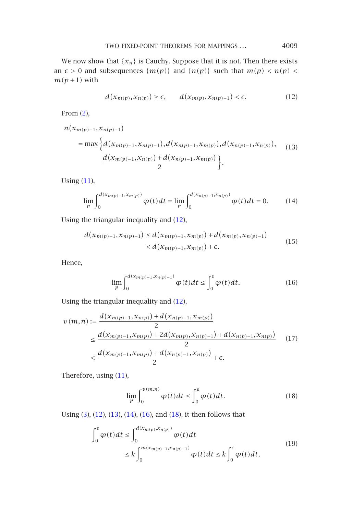<span id="page-2-1"></span><span id="page-2-0"></span>TWO FIXED-POINT THEOREMS FOR MAPPINGS *...* 4009

We now show that  $\{x_n\}$  is Cauchy. Suppose that it is not. Then there exists an  $\epsilon > 0$  and subsequences  $\{m(p)\}$  and  $\{n(p)\}$  such that  $m(p) < n(p) <$  $m(p+1)$  with

<span id="page-2-2"></span>
$$
d(x_{m(p)}, x_{n(p)}) \ge \epsilon, \qquad d(x_{m(p)}, x_{n(p)-1}) < \epsilon.
$$
 (12)

From (2),

$$
n(x_{m(p)-1}, x_{n(p)-1})
$$
  
= max  $\Big\{ d(x_{m(p)-1}, x_{n(p)-1}), d(x_{n(p)-1}, x_{m(p)}), d(x_{n(p)-1}, x_{n(p)}),$   

$$
\frac{d(x_{m(p)-1}, x_{n(p)}) + d(x_{n(p)-1}, x_{m(p)})}{2} \Big\}.
$$
 (13)

Using (11),

<span id="page-2-3"></span>
$$
\lim_{p} \int_{0}^{d(x_{m(p)-1}, x_{m(p)})} \varphi(t)dt = \lim_{p} \int_{0}^{d(x_{n(p)-1}, x_{n(p)})} \varphi(t)dt = 0.
$$
 (14)

Using the triangular inequality and [\(12\)](#page-2-0),

$$
d(x_{m(p)-1}, x_{n(p)-1}) \le d(x_{m(p)-1}, x_{m(p)}) + d(x_{m(p)}, x_{n(p)-1}) < d(x_{m(p)-1}, x_{m(p)}) + \epsilon.
$$
\n(15)

Hence,

<span id="page-2-4"></span>
$$
\lim_{p} \int_{0}^{d(x_{m(p)-1}, x_{n(p)-1})} \varphi(t)dt \leq \int_{0}^{\epsilon} \varphi(t)dt.
$$
 (16)

Using the triangular inequality and (12),

$$
v(m,n) := \frac{d(x_{m(p)-1},x_{n(p)}) + d(x_{n(p)-1},x_{m(p)})}{2}
$$
  
\$\leq \frac{d(x\_{m(p)-1},x\_{m(p)}) + 2d(x\_{m(p)},x\_{n(p)-1}) + d(x\_{n(p)-1},x\_{n(p)})}{2}\$ (17)  
\$< \frac{d(x\_{m(p)-1},x\_{m(p)}) + d(x\_{n(p)-1},x\_{n(p)})}{2} + \epsilon.\$

Therefore, using (11),

$$
\lim_{p} \int_{0}^{v(m,n)} \varphi(t)dt \le \int_{0}^{\epsilon} \varphi(t)dt.
$$
 (18)

Using (3), (12), (13), (14), (16), and (18), it then follows that

$$
\int_0^{\epsilon} \varphi(t)dt \le \int_0^{d(x_{m(p)}, x_{n(p)})} \varphi(t)dt
$$
\n
$$
\le k \int_0^{m(x_{m(p)-1}, x_{n(p)-1})} \varphi(t)dt \le k \int_0^{\epsilon} \varphi(t)dt,
$$
\n(19)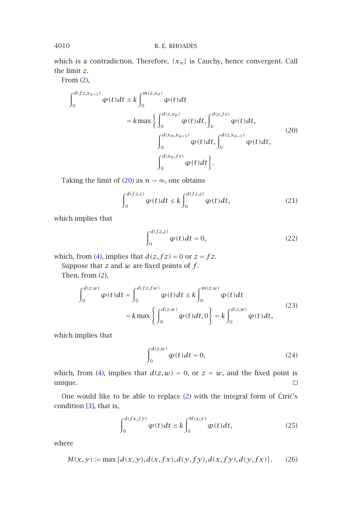#### 4010 B. E. RHOADES

which is a contradiction. Therefore, {*xn*} is Cauchy, hence convergent. Call the limit *z*.

From (2),

<span id="page-3-0"></span>
$$
\int_{0}^{d(fz,x_{n+1})} \varphi(t)dt \le k \int_{0}^{m(z,x_{n})} \varphi(t)dt \n= k \max \left\{ \int_{0}^{d(z,x_{n})} \varphi(t)dt, \int_{0}^{d(z,fz)} \varphi(t)dt, \int_{0}^{d(z,x_{n+1})} \varphi(t)dt, \int_{0}^{d(z,x_{n+1})} \varphi(t)dt \right\}.
$$
\n(20)

Taking the [li](#page-1-2)mit of (20) as  $n \rightarrow \infty$ , one obtains

$$
\int_0^{d(fz,z)} \varphi(t)dt \le k \int_0^{d(fz,z)} \varphi(t)dt, \tag{21}
$$

which implies that

$$
\int_0^{d(fz,z)} \varphi(t)dt = 0,
$$
\n(22)

which, from (4), implies that  $d(z, fz) = 0$  or  $z = fz$ .

Suppose that  $z$  and  $w$  are fixed points of  $f$ .

Then, from (2),

$$
\int_0^{d(z,w)} \varphi(t)dt = \int_0^{d(fz,fw)} \varphi(t)dt \le k \int_0^{m(z,w)} \varphi(t)dt
$$
  
=  $k \max \left\{ \int_0^{d(z,w)} \varphi(t)dt, 0 \right\} = k \int_0^{d(z,w)} \varphi(t)dt,$  (23)

which implies that

<span id="page-3-1"></span>
$$
\int_0^{d(z,w)} \varphi(t)dt = 0,
$$
\n(24)

which, from (4), implies that  $d(z, w) = 0$ , or  $z = w$ , and the fixed point is  $\Box$ unique.

One would like to be able to replace  $(2)$  with the integral form of Ciric's condition [3], that is,

$$
\int_0^{d(fx,fy)} \varphi(t)dt \le k \int_0^{M(x,y)} \varphi(t)dt, \tag{25}
$$

where

$$
M(x, y) := \max \{ d(x, y), d(x, fx), d(y, fy), d(x, fy), d(y, fx) \}. \tag{26}
$$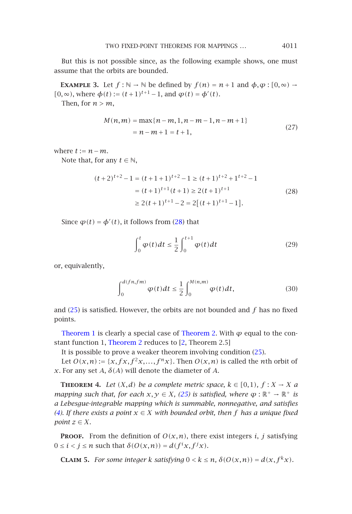TWO FIXED-POINT THEOREMS FOR MAPPINGS *...* 4011

But this is not possible since, as the following example shows, one must assume that the orbits are bounded.

**EXAMPLE 3.** Let  $f : \mathbb{N} \to \mathbb{N}$  be defined by  $f(n) = n + 1$  and  $\phi, \phi : [0, \infty) \to$ *[*0*,*∞*)*, where *φ*(*t*) :=  $(t+1)$ <sup>*t*+1</sup> −1, and *φ*(*t*) = *φ*<sup>'</sup>(*t*). Then, for  $n > m$ ,

$$
\mathcal{L}(\mathcal{L}) = \mathcal{L}(\mathcal{L})
$$

$$
M(n,m) = \max\{n-m, 1, n-m-1, n-m+1\}
$$
  
=  $n-m+1=t+1$ , (27)

where  $t := n - m$ .

Note that, for any  $t \in \mathbb{N}$ ,

$$
(t+2)^{t+2} - 1 = (t+1+1)^{t+2} - 1 \ge (t+1)^{t+2} + 1^{t+2} - 1
$$
  
=  $(t+1)^{t+1}(t+1) \ge 2(t+1)^{t+1}$  (28)  

$$
\ge 2(t+1)^{t+1} - 2 = 2[(t+1)^{t+1} - 1].
$$

Si[nce](#page-3-1)  $\varphi(t) = \varphi'(t)$ , it follows from (28) that

$$
\int_0^t \varphi(t)dt \le \frac{1}{2} \int_0^{t+1} \varphi(t)dt
$$
\n(29)

or, equivalently,

$$
\int_0^{d(fn,fm)} \varphi(t)dt \le \frac{1}{2} \int_0^{M(n,m)} \varphi(t)dt, \tag{30}
$$

and (25) is satisfied. However, the orbit[s ar](#page-3-1)e not bounded and *f* has no fixed points.

Theorem 1 is clearly a special case of Theorem 2. With  $\varphi$  equal to the constant function 1, Theorem 2 reduces to [2, Theorem 2.5]

It is possible to prove a weaker theorem involving condition (25).

Let  $O(x, n) := \{x, fx, f^2x, \ldots, f^nx\}$ . Then  $O(x, n)$  is called the *n*th orbit of *x*. For any set *A*,  $\delta$ (*A*) will denote the diameter of *A*.

**THEOREM 4.** Let  $(X, d)$  be a complete metric space,  $k \in [0, 1)$ ,  $f : X \to X$  a *mapping such that, for each*  $x, y \in X$ , (25) is satisfied, where  $\varphi : \mathbb{R}^+ \to \mathbb{R}^+$  is *a Lebesgue-integrable mapping which is summable, nonnegative, and satisfies (4). If there exists a point x* ∈ *X with bounded orbit, then f has a unique fixed point*  $z \in X$ *.* 

**PROOF.** From the definition of  $O(x, n)$ , there exist integers *i*, *j* satisfying  $0 \le i \le j \le n$  such that  $\delta(O(x, n)) = d(f^i x, f^j x)$ .

**CLAIM 5.** For some integer *k satisfying*  $0 < k \le n$ ,  $\delta(O(x, n)) = d(x, f^k x)$ *.*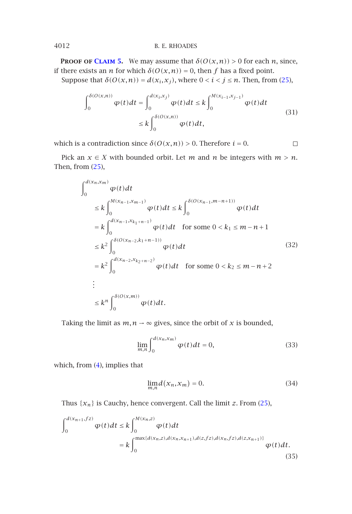#### 4012 B. E. RHOADES

**PROOF OF CLAIM 5.** We may assume that  $\delta(O(x,n)) > 0$  for each *n*, since, if there exists an *n* for which  $\delta(O(x,n)) = 0$ , then *f* has a fixed point.

Suppose [that](#page-3-1)  $\delta(O(x,n)) = d(x_i,x_j)$ , where  $0 < i < j \le n$ . Then, from (25),

$$
\int_0^{\delta(O(x,n))} \varphi(t)dt = \int_0^{d(x_i, x_j)} \varphi(t)dt \le k \int_0^{M(x_{i-1}, x_{j-1})} \varphi(t)dt
$$
\n
$$
\le k \int_0^{\delta(O(x,n))} \varphi(t)dt,
$$
\n(31)

 $\Box$ 

which is a contradiction since  $\delta(O(x,n)) > 0$ . Therefore  $i = 0$ .

Pick an  $x \in X$  with bounded orbit. Let  $m$  and  $n$  be integers with  $m > n$ . Then, from (25),

$$
\int_{0}^{d(x_{n},x_{m})} \varphi(t)dt
$$
\n
$$
\leq k \int_{0}^{M(x_{n-1},x_{m-1})} \varphi(t)dt \leq k \int_{0}^{\delta(0(x_{n-1},m-n+1))} \varphi(t)dt
$$
\n
$$
= k \int_{0}^{d(x_{n-1},x_{k_{1}+n-1})} \varphi(t)dt \quad \text{for some } 0 < k_{1} \leq m-n+1
$$
\n
$$
\leq k^{2} \int_{0}^{\delta(0(x_{n-2},k_{1}+n-1))} \varphi(t)dt \qquad (32)
$$
\n
$$
= k^{2} \int_{0}^{d(x_{n-2},x_{k_{2}+n-2})} \varphi(t)dt \quad \text{for some } 0 < k_{2} \leq m-n+2
$$
\n
$$
\vdots
$$
\n
$$
\leq k^{n} \int_{0}^{\delta(0(x,m))} \varphi(t)dt.
$$

Taking the limit as  $m, n \rightarrow \infty$  gives, since the orbit of *x* is bou[nded](#page-3-1),

$$
\lim_{m,n} \int_0^{d(x_n, x_m)} \varphi(t) dt = 0,
$$
\n(33)

which, from (4), implies that

$$
\lim_{m,n} d(x_n, x_m) = 0. \tag{34}
$$

Thus  $\{x_n\}$  is Cauchy, hence convergent. Call the limit *z*. From (25),

$$
\int_{0}^{d(x_{n+1},fz)} \varphi(t)dt \le k \int_{0}^{M(x_{n},z)} \varphi(t)dt
$$
  
=  $k \int_{0}^{\max\{d(x_{n},z),d(x_{n},x_{n+1}),d(z,fz),d(x_{n},fz),d(z,x_{n+1})\}} \varphi(t)dt.$  (35)